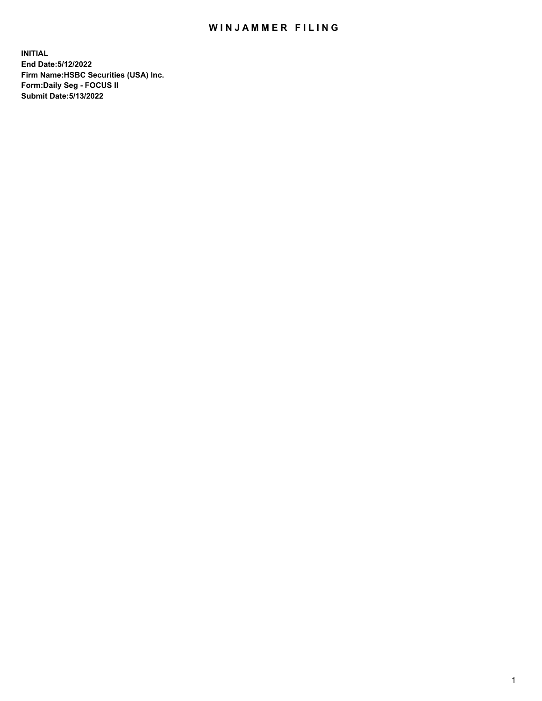## WIN JAMMER FILING

**INITIAL End Date:5/12/2022 Firm Name:HSBC Securities (USA) Inc. Form:Daily Seg - FOCUS II Submit Date:5/13/2022**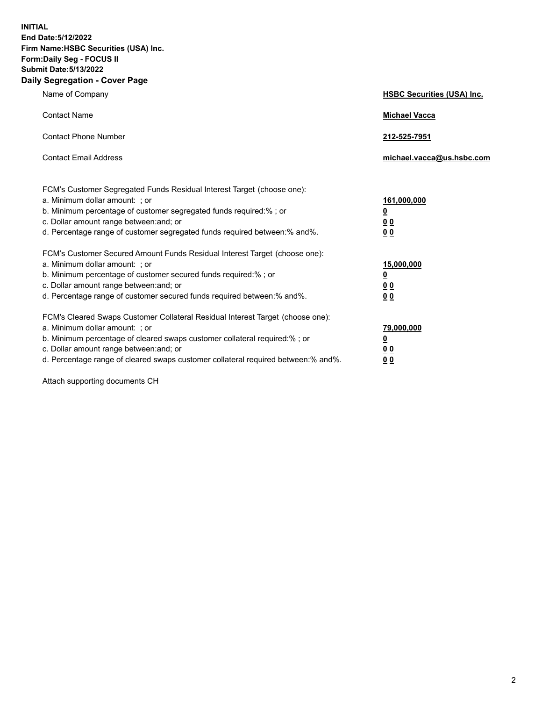**INITIAL End Date:5/12/2022 Firm Name:HSBC Securities (USA) Inc. Form:Daily Seg - FOCUS II Submit Date:5/13/2022 Daily Segregation - Cover Page**

| Name of Company                                                                                                                                                                                                                                                                                                               | <b>HSBC Securities (USA) Inc.</b>                                           |
|-------------------------------------------------------------------------------------------------------------------------------------------------------------------------------------------------------------------------------------------------------------------------------------------------------------------------------|-----------------------------------------------------------------------------|
| <b>Contact Name</b>                                                                                                                                                                                                                                                                                                           | <b>Michael Vacca</b>                                                        |
| <b>Contact Phone Number</b>                                                                                                                                                                                                                                                                                                   | 212-525-7951                                                                |
| <b>Contact Email Address</b>                                                                                                                                                                                                                                                                                                  | michael.vacca@us.hsbc.com                                                   |
| FCM's Customer Segregated Funds Residual Interest Target (choose one):<br>a. Minimum dollar amount: ; or<br>b. Minimum percentage of customer segregated funds required:% ; or<br>c. Dollar amount range between: and; or<br>d. Percentage range of customer segregated funds required between:% and%.                        | 161,000,000<br>$\underline{\mathbf{0}}$<br>0 <sub>0</sub><br>0 <sub>0</sub> |
| FCM's Customer Secured Amount Funds Residual Interest Target (choose one):<br>a. Minimum dollar amount: ; or<br>b. Minimum percentage of customer secured funds required:%; or<br>c. Dollar amount range between: and; or<br>d. Percentage range of customer secured funds required between: % and %.                         | 15,000,000<br><u>0</u><br>0 <sub>0</sub><br>0 <sub>0</sub>                  |
| FCM's Cleared Swaps Customer Collateral Residual Interest Target (choose one):<br>a. Minimum dollar amount: : or<br>b. Minimum percentage of cleared swaps customer collateral required:%; or<br>c. Dollar amount range between: and; or<br>d. Percentage range of cleared swaps customer collateral required between:% and%. | 79,000,000<br><u>0</u><br>00<br>00                                          |

Attach supporting documents CH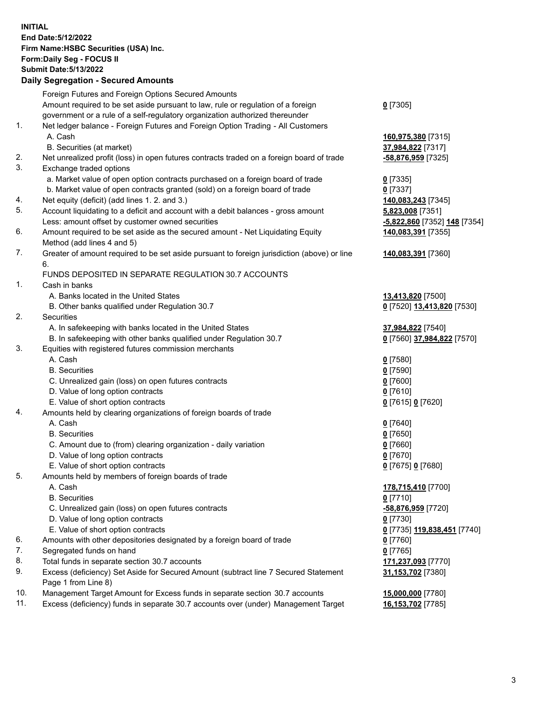**INITIAL End Date:5/12/2022 Firm Name:HSBC Securities (USA) Inc. Form:Daily Seg - FOCUS II Submit Date:5/13/2022 Daily Segregation - Secured Amounts** Foreign Futures and Foreign Options Secured Amounts Amount required to be set aside pursuant to law, rule or regulation of a foreign government or a rule of a self-regulatory organization authorized thereunder 1. Net ledger balance - Foreign Futures and Foreign Option Trading - All Customers A. Cash **160,975,380** [7315]

- B. Securities (at market) **37,984,822** [7317]
- 2. Net unrealized profit (loss) in open futures contracts traded on a foreign board of trade **-58,876,959** [7325]
- 3. Exchange traded options
	- a. Market value of open option contracts purchased on a foreign board of trade **0** [7335]
	- b. Market value of open contracts granted (sold) on a foreign board of trade **0** [7337]
- 4. Net equity (deficit) (add lines 1. 2. and 3.) **140,083,243** [7345]
- 5. Account liquidating to a deficit and account with a debit balances gross amount **5,823,008** [7351] Less: amount offset by customer owned securities **-5,822,860** [7352] **148** [7354]
- 6. Amount required to be set aside as the secured amount Net Liquidating Equity Method (add lines 4 and 5)
- 7. Greater of amount required to be set aside pursuant to foreign jurisdiction (above) or line 6.

## FUNDS DEPOSITED IN SEPARATE REGULATION 30.7 ACCOUNTS

- 1. Cash in banks
	- A. Banks located in the United States **13,413,820** [7500]
	- B. Other banks qualified under Regulation 30.7 **0** [7520] **13,413,820** [7530]
- 2. Securities
	- A. In safekeeping with banks located in the United States **37,984,822** [7540]
	- B. In safekeeping with other banks qualified under Regulation 30.7 **0** [7560] **37,984,822** [7570]
- 3. Equities with registered futures commission merchants
	- A. Cash **0** [7580]
	- B. Securities **0** [7590]
	- C. Unrealized gain (loss) on open futures contracts **0** [7600]
	- D. Value of long option contracts **0** [7610]
	- E. Value of short option contracts **0** [7615] **0** [7620]
- 4. Amounts held by clearing organizations of foreign boards of trade
	- A. Cash **0** [7640]
	- B. Securities **0** [7650]
	- C. Amount due to (from) clearing organization daily variation **0** [7660]
	- D. Value of long option contracts **0** [7670]
	- E. Value of short option contracts **0** [7675] **0** [7680]
- 5. Amounts held by members of foreign boards of trade
	-
	- B. Securities **0** [7710]
	- C. Unrealized gain (loss) on open futures contracts **-58,876,959** [7720]
	- D. Value of long option contracts **0** [7730]
	- E. Value of short option contracts **0** [7735] **119,838,451** [7740]
- 6. Amounts with other depositories designated by a foreign board of trade **0** [7760]
- 7. Segregated funds on hand **0** [7765]
- 8. Total funds in separate section 30.7 accounts **171,237,093** [7770]
- 9. Excess (deficiency) Set Aside for Secured Amount (subtract line 7 Secured Statement Page 1 from Line 8)
- 10. Management Target Amount for Excess funds in separate section 30.7 accounts **15,000,000** [7780]
- 11. Excess (deficiency) funds in separate 30.7 accounts over (under) Management Target **16,153,702** [7785]

**140,083,391** [7355] **140,083,391** [7360]

 A. Cash **178,715,410** [7700] **31,153,702** [7380]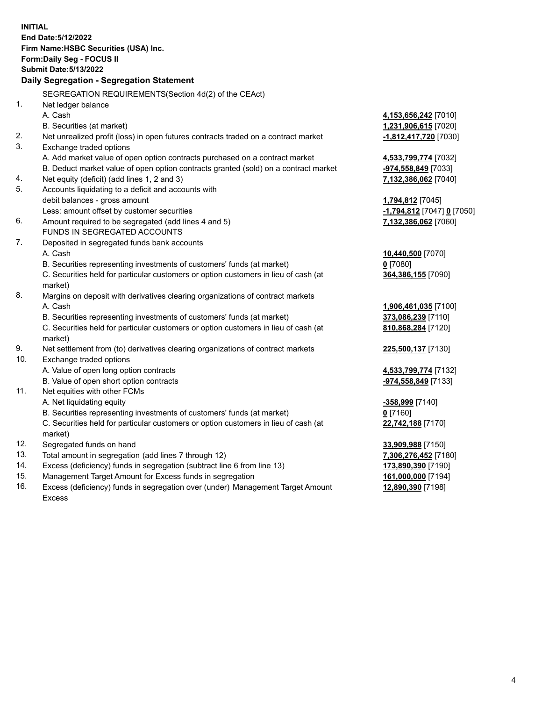**INITIAL End Date:5/12/2022 Firm Name:HSBC Securities (USA) Inc. Form:Daily Seg - FOCUS II Submit Date:5/13/2022 Daily Segregation - Segregation Statement** SEGREGATION REQUIREMENTS(Section 4d(2) of the CEAct) 1. Net ledger balance A. Cash **4,153,656,242** [7010] B. Securities (at market) **1,231,906,615** [7020] 2. Net unrealized profit (loss) in open futures contracts traded on a contract market **-1,812,417,720** [7030] 3. Exchange traded options A. Add market value of open option contracts purchased on a contract market **4,533,799,774** [7032] B. Deduct market value of open option contracts granted (sold) on a contract market **-974,558,849** [7033] 4. Net equity (deficit) (add lines 1, 2 and 3) **7,132,386,062** [7040] 5. Accounts liquidating to a deficit and accounts with debit balances - gross amount **1,794,812** [7045] Less: amount offset by customer securities **-1,794,812** [7047] **0** [7050] 6. Amount required to be segregated (add lines 4 and 5) **7,132,386,062** [7060] FUNDS IN SEGREGATED ACCOUNTS 7. Deposited in segregated funds bank accounts A. Cash **10,440,500** [7070] B. Securities representing investments of customers' funds (at market) **0** [7080] C. Securities held for particular customers or option customers in lieu of cash (at market) **364,386,155** [7090] 8. Margins on deposit with derivatives clearing organizations of contract markets A. Cash **1,906,461,035** [7100] B. Securities representing investments of customers' funds (at market) **373,086,239** [7110] C. Securities held for particular customers or option customers in lieu of cash (at market) **810,868,284** [7120] 9. Net settlement from (to) derivatives clearing organizations of contract markets **225,500,137** [7130] 10. Exchange traded options A. Value of open long option contracts **4,533,799,774** [7132] B. Value of open short option contracts **and the set of open short option contracts -974,558,849** [7133] 11. Net equities with other FCMs A. Net liquidating equity **-358,999** [7140] B. Securities representing investments of customers' funds (at market) **0** [7160] C. Securities held for particular customers or option customers in lieu of cash (at market) **22,742,188** [7170] 12. Segregated funds on hand **33,909,988** [7150] 13. Total amount in segregation (add lines 7 through 12) **7,306,276,452** [7180] 14. Excess (deficiency) funds in segregation (subtract line 6 from line 13) **173,890,390** [7190] 15. Management Target Amount for Excess funds in segregation **161,000,000** [7194]

16. Excess (deficiency) funds in segregation over (under) Management Target Amount Excess

**12,890,390** [7198]